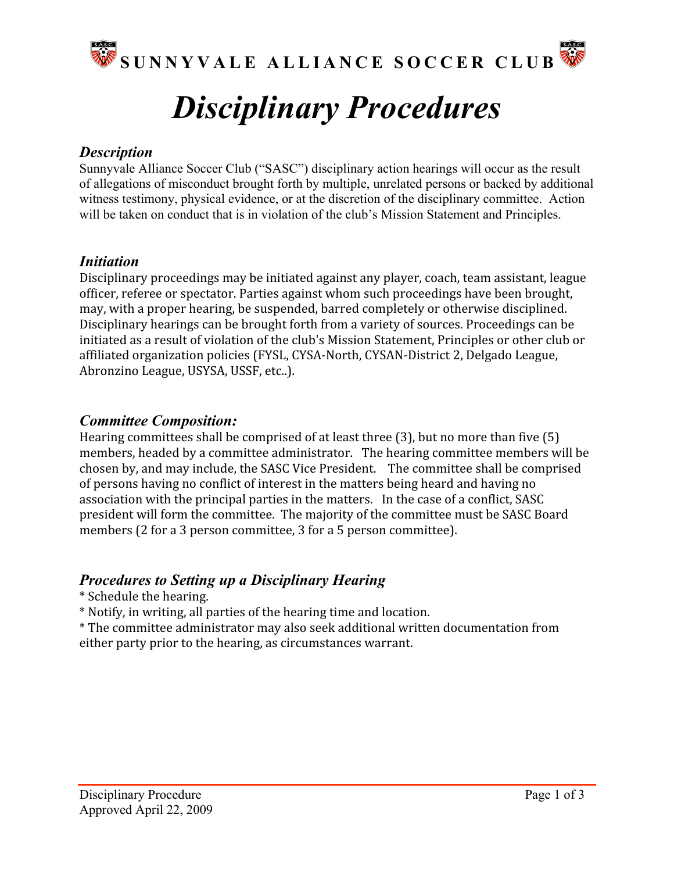

# *Disciplinary Procedures*

#### *Description*

Sunnyvale Alliance Soccer Club ("SASC") disciplinary action hearings will occur as the result of allegations of misconduct brought forth by multiple, unrelated persons or backed by additional witness testimony, physical evidence, or at the discretion of the disciplinary committee. Action will be taken on conduct that is in violation of the club's Mission Statement and Principles.

#### *Initiation*

Disciplinary proceedings may be initiated against any player, coach, team assistant, league officer,
referee
or
spectator.
Parties
against
whom
such
proceedings
have
been
brought, may,
with
a
proper
hearing,
be
suspended,
barred
completely
or
otherwise
disciplined. Disciplinary
hearings
can
be
brought
forth
from
a
variety
of
sources.
Proceedings
can
be initiated as a result of violation of the club's Mission Statement, Principles or other club or affiliated organization policies (FYSL, CYSA-North, CYSAN-District 2, Delgado League, Abronzino
League,
USYSA,
USSF,
etc..).

## *Committee Composition:*

Hearing committees shall be comprised of at least three (3), but no more than five (5) members,
headed
by
a
committee
administrator.

The
hearing
committee
members
will
be chosen
by,
and
may
include,
the
SASC
Vice
President.

The
committee
shall
be
comprised of
persons
having
no
conflict
of
interest
in
the
matters
being
heard
and
having
no association
with
the
principal
parties
in
the
matters.

In
the
case
of
a
conflict,
SASC president
will
form
the
committee.

The
majority
of
the
committee
must
be
SASC
Board members
(2
for
a
3
person
committee,
3
for
a
5
person
committee).

## *Procedures to Setting up a Disciplinary Hearing*

- \*
Schedule
the
hearing.
- \*
Notify,
in
writing,
all
parties
of
the
hearing
time
and
location.

\*
The committee
administrator
may
also
seek
additional
written
documentation
from either party prior to the hearing, as circumstances warrant.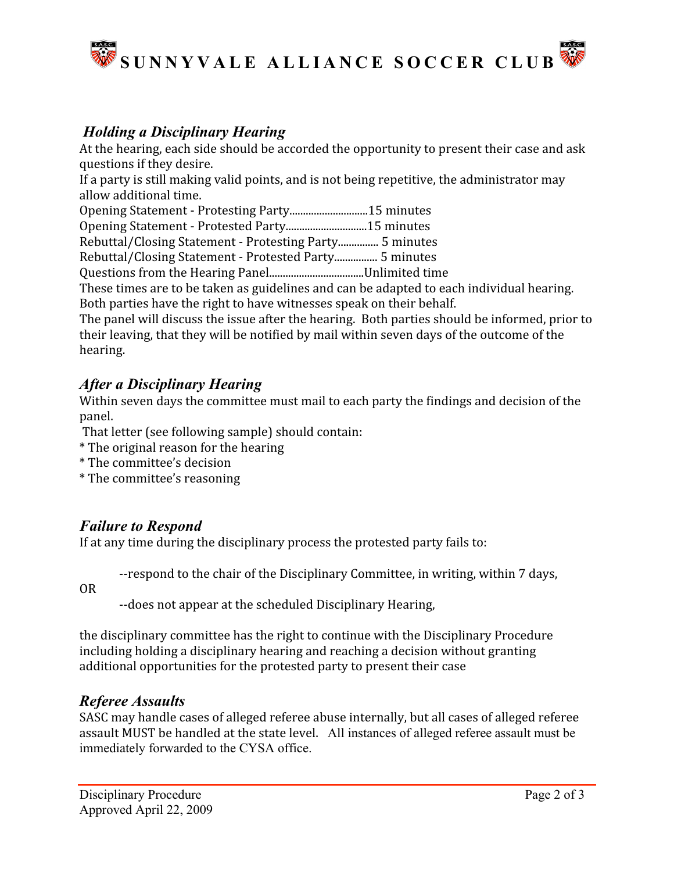

# *Holding a Disciplinary Hearing*

At the hearing, each side should be accorded the opportunity to present their case and ask questions
if
they
desire.

If a party is still making valid points, and is not being repetitive, the administrator may allow
additional
time.

Opening
Statement
‐
Protesting
Party.............................15
minutes

Opening
Statement
‐
Protested
Party..............................15
minutes

Rebuttal/Closing
Statement
‐
Protesting
Party...............
5
minutes

Rebuttal/Closing
Statement
‐
Protested
Party................
5
minutes

Questions
from
the
Hearing
Panel...................................Unlimited
time

These times are to be taken as guidelines and can be adapted to each individual hearing. Both
parties
have
the
right
to
have
witnesses
speak
on
their
behalf.

The
panel
will
discuss
the
issue
after
the
hearing.

Both
parties
should
be
informed,
prior
to their leaving, that they will be notified by mail within seven days of the outcome of the hearing.

# *After a Disciplinary Hearing*

Within seven days the committee must mail to each party the findings and decision of the panel.

That
letter
(see
following
sample)
should
contain:

- \*
The
original
reason
for
the
hearing
- \*
The
committee's
decision
- \*
The
committee's
reasoning

# *Failure to Respond*

If at any time during the disciplinary process the protested party fails to:

--respond to the chair of the Disciplinary Committee, in writing, within 7 days,

OR

‐‐does
not
appear
at
the
scheduled
Disciplinary
Hearing,

the
disciplinary
committee
has
the
right
to
continue
with
the
Disciplinary
Procedure including
holding
a
disciplinary
hearing
and
reaching
a
decision
without
granting additional opportunities for the protested party to present their case

## *Referee Assaults*

SASC
may
handle
cases
of
alleged
referee
abuse
internally,
but
all
cases
of
alleged
referee assault
MUST
be
handled
at
the
state
level. All instances of alleged referee assault must be immediately forwarded to the CYSA office.